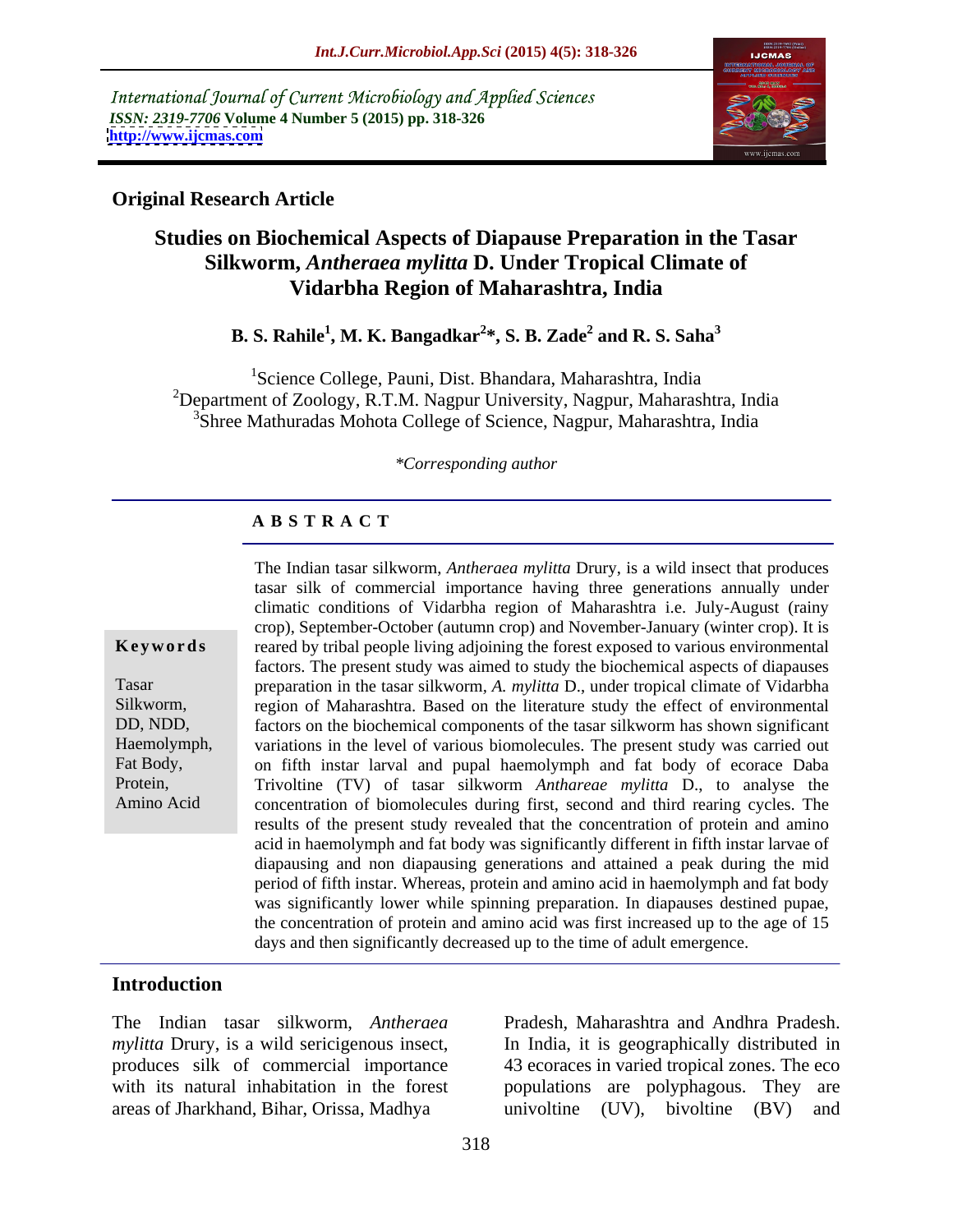International Journal of Current Microbiology and Applied Sciences *ISSN: 2319-7706* **Volume 4 Number 5 (2015) pp. 318-326 <http://www.ijcmas.com>**



## **Original Research Article**

# **Studies on Biochemical Aspects of Diapause Preparation in the Tasar Silkworm,** *Antheraea mylitta* **D. Under Tropical Climate of Vidarbha Region of Maharashtra, India**

**B. S. Rahile<sup>1</sup> , M. K. Bangadkar<sup>2</sup> \*, S. B. Zade<sup>2</sup> and R. S. Saha<sup>3</sup>**

<sup>1</sup>Science College, Pauni, Dist. Bhandara, Maharashtra, India <sup>2</sup>Department of Zoology, R.T.M. Nagpur University, Nagpur, Maharashtra, India <sup>3</sup>Shree Mathuradas Mohota College of Science, Nagpur, Maharashtra, India

### *\*Corresponding author*

## **A B S T R A C T**

Amino Acid

The Indian tasar silkworm, *Antheraea mylitta* Drury, is a wild insect that produces tasar silk of commercial importance having three generations annually under climatic conditions of Vidarbha region of Maharashtra i.e. July-August (rainy crop), September-October (autumn crop) and November-January (winter crop). It is **Keywords** reared by tribal people living adjoining the forest exposed to various environmental factors. The present study was aimed to study the biochemical aspects of diapauses preparation in the tasar silkworm*, A. mylitta* D., under tropical climate of Vidarbha Tasar Silkworm, region of Maharashtra. Based on the literature study the effect of environmental factors on the biochemical components of the tasar silkworm has shown significant DD, NDD, Haemolymph, variations in the level of various biomolecules. The present study was carried out Fat Body, on fifth instar larval and pupal haemolymph and fat body of ecorace Daba Trivoltine (TV) of tasar silkworm *Anthareae mylitta* D., to analyse the Protein, concentration of biomolecules during first, second and third rearing cycles. The results of the present study revealed that the concentration of protein and amino acid in haemolymph and fat body was significantly different in fifth instar larvae of diapausing and non diapausing generations and attained a peak during the mid period of fifth instar. Whereas, protein and amino acid in haemolymph and fat body was significantly lower while spinning preparation. In diapauses destined pupae, the concentration of protein and amino acid was first increased up to the age of 15 days and then significantly decreased up to the time of adult emergence.

## **Introduction**

*mylitta* Drury, is a wild sericigenous insect, In India, it is geographically distributed in produces silk of commercial importance 43 ecoraces in varied tropical zones. The eco with its natural inhabitation in the forest populations are polyphagous. They are areas of Jharkhand, Bihar, Orissa, Madhya

The Indian tasar silkworm, *Antheraea*  Pradesh, Maharashtra and Andhra Pradesh. univoltine (UV), bivoltine (BV) and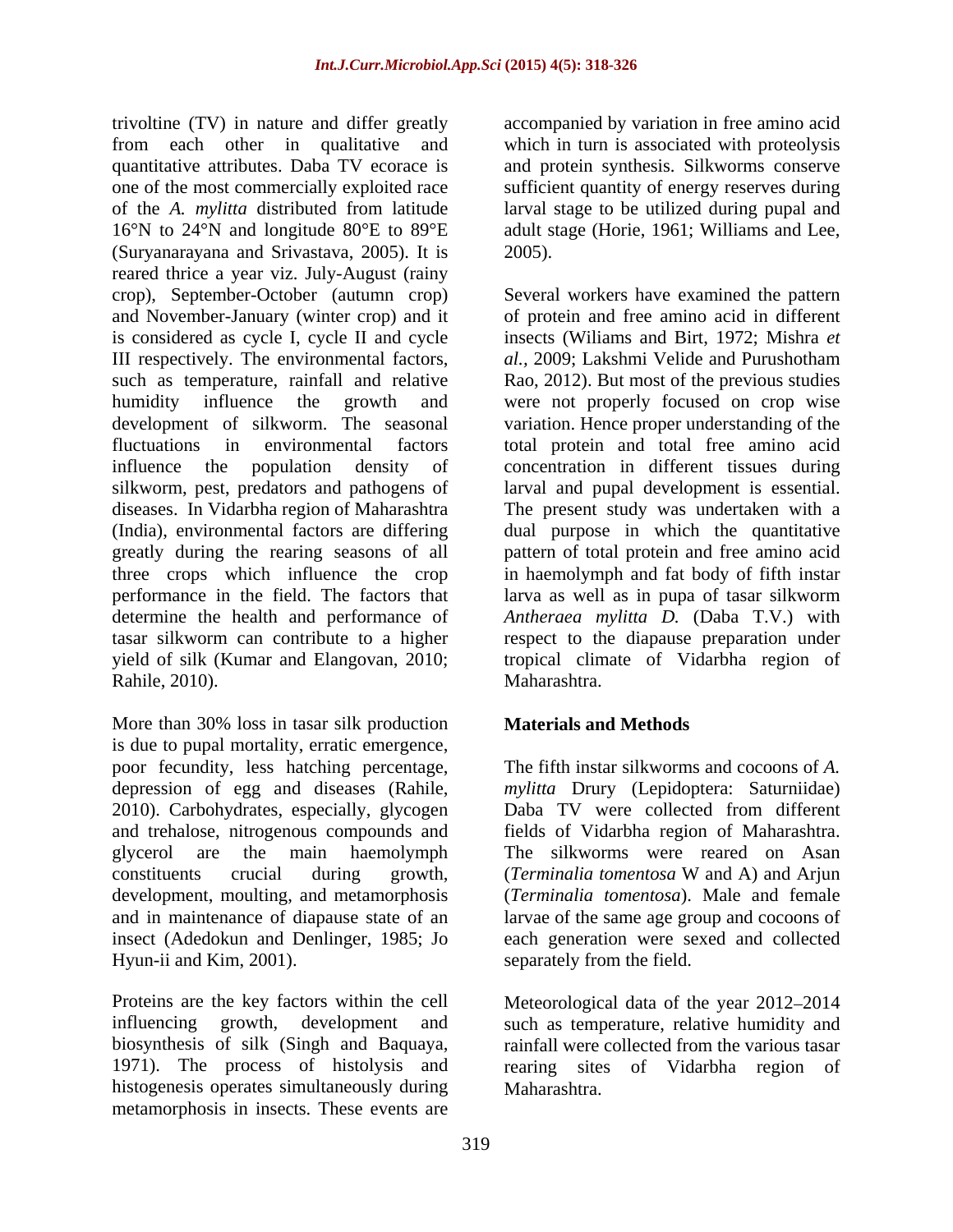trivoltine (TV) in nature and differ greatly accompanied by variation in free amino acid from each other in qualitative and which in turn is associated with proteolysis quantitative attributes. Daba TV ecorace is and protein synthesis. Silkworms conserve one of the most commercially exploited race sufficient quantity of energy reserves during of the *A. mylitta* distributed from latitude larval stage to be utilized during pupal and 16°N to 24°N and longitude 80°E to 89°E adult stage (Horie, 1961; Williams and Lee, (Suryanarayana and Srivastava, 2005). It is reared thrice a year viz. July-August (rainy crop), September-October (autumn crop) crop), September-October (autumn crop) Several workers have examined the pattern and November-January (winter crop) and it of protein and free amino acid in different is considered as cycle I, cycle II and cycle insects (Wiliams and Birt, 1972; Mishra *et*  III respectively. The environmental factors, such as temperature, rainfall and relative Rao, 2012). But most of the previous studies humidity influence the growth and were not properly focused on crop wise development of silkworm. The seasonal variation. Hence proper understanding of the fluctuations in environmental factors total protein and total free amino acid influence the population density of concentration in different tissues during silkworm, pest, predators and pathogens of larval and pupal development is essential. diseases. In Vidarbha region of Maharashtra The present study was undertaken with a (India), environmental factors are differing dual purpose in which the quantitative greatly during the rearing seasons of all pattern of total protein and free amino acid three crops which influence the crop in haemolymph and fat body of fifth instar performance in the field. The factors that larva as well as in pupa of tasar silkworm determine the health and performance of *Antheraea mylitta D.* (Daba T.V.) with tasar silkworm can contribute to a higher respect to the diapause preparation under yield of silk (Kumar and Elangovan, 2010; tropical climate of Vidarbha region of Rahile, 2010). Maharashtra.

More than 30% loss in tasar silk production is due to pupal mortality, erratic emergence, poor fecundity, less hatching percentage, depression of egg and diseases (Rahile, depression of egg and diseases (Rahile, *mylitta* Drury (Lepidoptera: Saturniidae) 2010). Carbohydrates, especially, glycogen Daba TV were collected from different and trehalose, nitrogenous compounds and fields of Vidarbha region of Maharashtra. glycerol are the main haemolymph The silkworms were reared on Asan constituents crucial during growth, (*Terminalia tomentosa* W and A) and Arjun development, moulting, and metamorphosis and in maintenance of diapause state of an larvae of the same age group and cocoons of insect (Adedokun and Denlinger, 1985; Jo each generation were sexed and collected

Proteins are the key factors within the cell Meteorological data of the year 2012–2014 influencing growth, development and such as temperature, relative humidity and biosynthesis of silk (Singh and Baquaya, 1971). The process of histolysis and rearing sites of Vidarbha region of histogenesis operates simultaneously during metamorphosis in insects. These events are

2005).

*al.,* 2009; Lakshmi Velide and Purushotham Maharashtra.

## **Materials and Methods**

Hyun-ii and Kim, 2001). separately from the field. The fifth instar silkworms and cocoons of *A.*  (*Terminalia tomentosa* W and A) and Arjun (*Terminalia tomentosa*). Male and female

> rainfall were collected from the various tasar Maharashtra.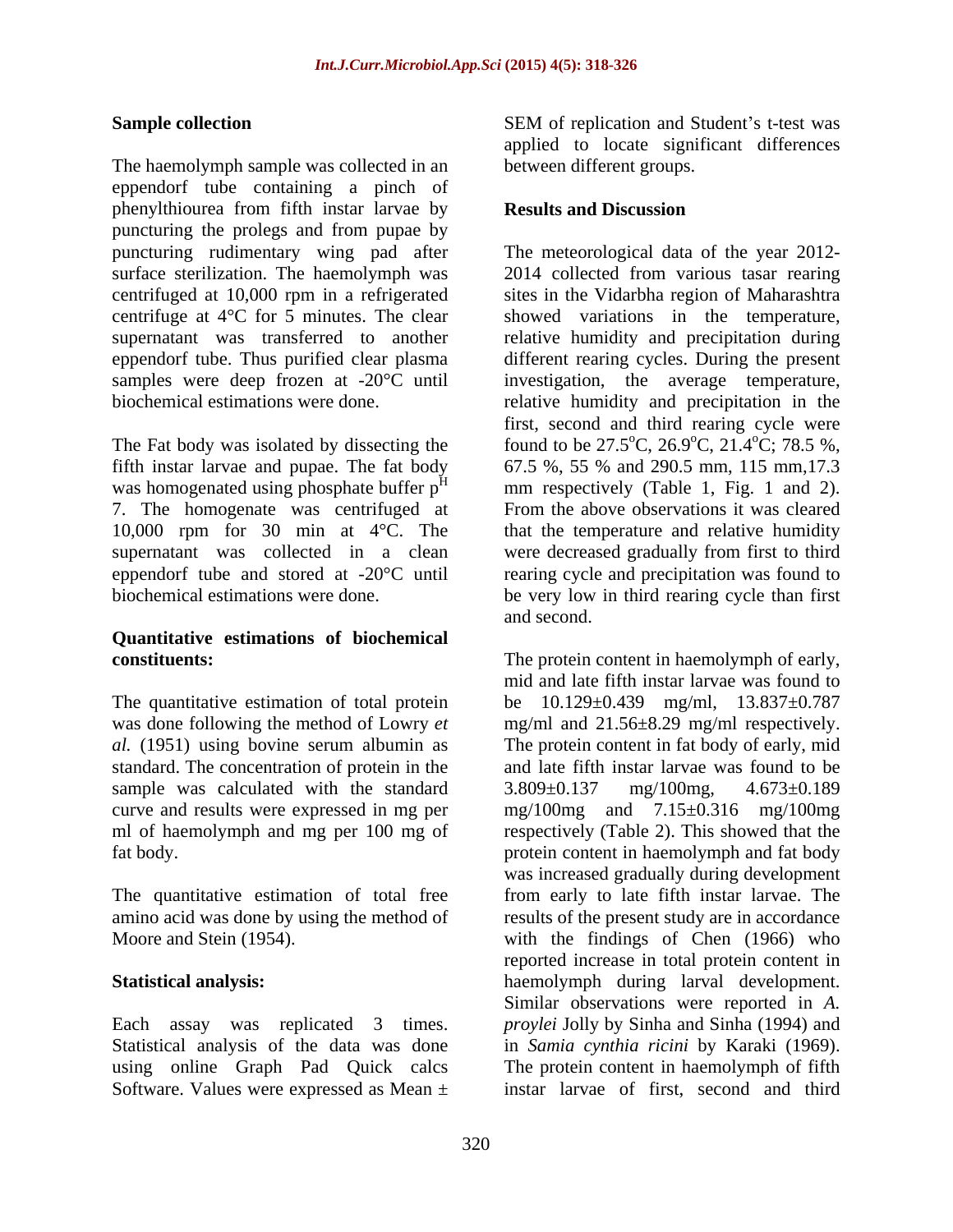The haemolymph sample was collected in an eppendorf tube containing a pinch of phenylthiourea from fifth instar larvae by **Results and Discussion** puncturing the prolegs and from pupae by puncturing rudimentary wing pad after surface sterilization. The haemolymph was centrifuged at 10,000 rpm in a refrigerated centrifuged at 10,000 rpm in a refrigerated sites in the Vidarbha region of Maharashtra centrifuge at 4°C for 5 minutes. The clear showed variations in the temperature, supernatant was transferred to another a relative humidity and precipitation during eppendorf tube. Thus purified clear plasma different rearing cycles. During the present samples were deep frozen at -20°C until investigation, the average temperature, biochemical estimations were done. relative humidity and precipitation in the

was homogenated using phosphate buffer p<sup>H</sup>

# **Quantitative estimations of biochemical**

The quantitative estimation of total protein sample was calculated with the standard 3.809±0.137 mg/100mg, 4.673±0.189 ml of haemolymph and mg per 100 mg of

The quantitative estimation of total free

Statistical analysis of the data was done in Samia cynthia ricini by Karaki (1969). using online Graph Pad Quick calcs The protein content in haemolymph of fifth Software. Values were expressed as Mean ±

**Sample collection** SEM of replication and Student's t-test was applied to locate significant differences between different groups.

## **Results and Discussion**

The Fat body was isolated by dissecting the found to be  $27.5^{\circ}$ C,  $26.9^{\circ}$ C,  $21.4^{\circ}$ C;  $78.5$  %, fifth instar larvae and pupae. The fat body 67.5 %, 55 % and 290.5 mm, 115 mm,17.3 <sup>H</sup> mm respectively (Table 1, Fig. 1 and 2). 7. The homogenate was centrifuged at From the above observations it was cleared 10,000 rpm for 30 min at 4°C. The that the temperature and relative humidity supernatant was collected in a clean were decreased gradually from first to third eppendorf tube and stored at -20°C until rearing cycle and precipitation was found to biochemical estimations were done. be very low in third rearing cycle than first The meteorological data of the year 2012- 2014 collected from various tasar rearing first, second and third rearing cycle were  $^{\circ}$ C, 21.4 $^{\circ}$ C; 78.5 %,  $^{\circ}$ C; 78.5 %, and second.

**constituents:** The protein content in haemolymph of early, was done following the method of Lowry *et*  mg/ml and 21.56±8.29 mg/ml respectively. *al.* (1951) using bovine serum albumin as The protein content in fat body of early, mid standard. The concentration of protein in the and late fifth instar larvae was found to be curve and results were expressed in mg per mg/100mg and 7.15±0.316 mg/100mg fat body. protein content in haemolymph and fat body amino acid was done by using the method of results of the present study are in accordance Moore and Stein (1954). with the findings of Chen (1966) who **Statistical analysis:** haemolymph during larval development. Each assay was replicated 3 times. *proylei* Jolly by Sinha and Sinha (1994) and mid and late fifth instar larvae was found to be 10.129±0.439 mg/ml, 13.837±0.787 3.809±0.137 mg/100mg, 4.673±0.189 respectively (Table 2). This showed that the was increased gradually during development from early to late fifth instar larvae. The reported increase in total protein content in Similar observations were reported in *A.*  in *Samia cynthia ricini* by Karaki (1969).<br>The protein content in haemolymph of fifth instar larvae of first, second and third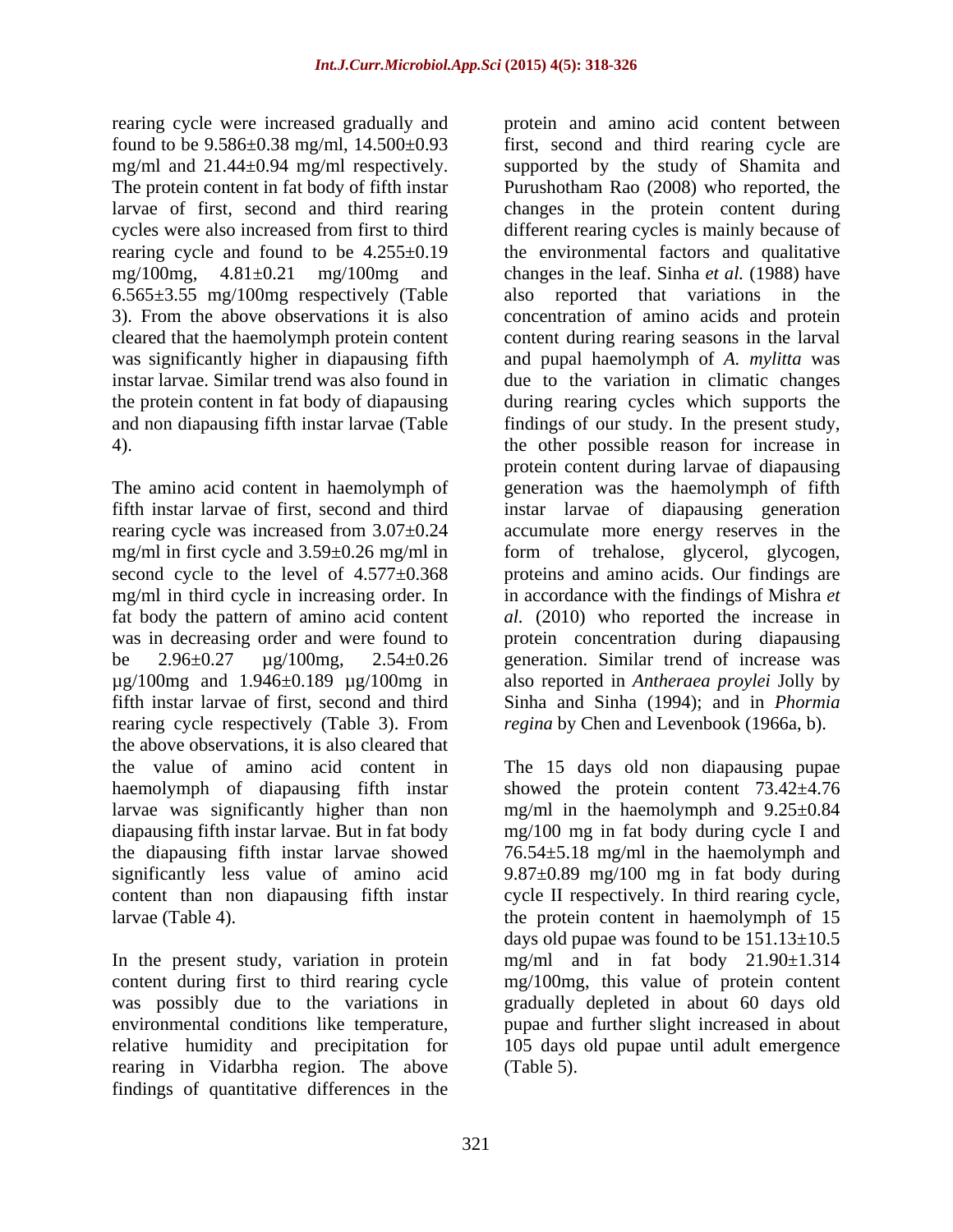rearing cycle were increased gradually and 6.565±3.55 mg/100mg respectively (Table

mg/ml in third cycle in increasing order. In rearing cycle respectively (Table 3). From the above observations, it is also cleared that haemolymph of diapausing fifth instar

rearing in Vidarbha region. The above findings of quantitative differences in the

found to be 9.586±0.38 mg/ml, 14.500±0.93 first, second and third rearing cycle are mg/ml and 21.44±0.94 mg/ml respectively. supported by the study of Shamita and The protein content in fat body of fifth instar Purushotham Rao (2008) who reported, the larvae of first, second and third rearing changes in the protein content during cycles were also increased from first to third different rearing cycles is mainly because of rearing cycle and found to be 4.255±0.19 the environmental factors and qualitative mg/100mg, 4.81±0.21 mg/100mg and changes in the leaf. Sinha *et al.* (1988) have 3). From the above observations it is also concentration of amino acids and protein cleared that the haemolymph protein content content during rearing seasonsin the larval was significantly higher in diapausing fifth and pupal haemolymph of *A. mylitta* was instar larvae. Similar trend was also found in due to the variation in climatic changes the protein content in fat body of diapausing during rearing cycles which supports the and non diapausing fifth instar larvae (Table findings of our study. In the present study, 4). the other possible reason for increase in The amino acid content in haemolymph of generation was the haemolymph of fifth fifth instar larvae of first, second and third instar larvae of diapausing generation rearing cycle was increased from 3.07±0.24 accumulate more energy reserves in the mg/ml in first cycle and 3.59±0.26 mg/ml in form of trehalose, glycerol, glycogen, second cycle to the level of 4.577±0.368 proteins and amino acids. Our findings are fat body the pattern of amino acid content *al.* (2010) who reported the increase in was in decreasing order and were found to protein concentration during diapausing be 2.96±0.27 µg/100mg, 2.54±0.26 generation. Similar trend of increase was µg/100mg and 1.946±0.189 µg/100mg in also reported in *Antheraea proylei* Jolly by fifth instar larvae of first, second and third Sinha and Sinha (1994); and in *Phormia*  protein and amino acid content between also reported that variations in the protein content during larvae of diapausing in accordance with the findings of Mishra *et regina* by Chen and Levenbook (1966a, b).

the value of amino acid content in The 15 days old non diapausing pupae larvae was significantly higher than non mg/ml in the haemolymph and 9.25±0.84 diapausing fifth instar larvae. But in fat body mg/100 mg in fat body during cycleI and the diapausing fifth instar larvae showed 76.54±5.18 mg/ml in the haemolymph and significantly less value of amino acid 9.87±0.89 mg/100 mg in fat body during content than non diapausing fifth instar cycle II respectively. In third rearing cycle, larvae (Table 4). the protein content in haemolymph of 15 In the present study, variation in protein mg/ml and in fat body 21.90±1.314 content during first to third rearing cycle mg/100mg, this value of protein content was possibly due to the variations in gradually depleted in about 60 days old environmental conditions like temperature, pupae and further slight increased in about relative humidity and precipitation for 105 days old pupae until adult emergence showed the protein content  $73.42 \pm 4.76$ days old pupae was found to be  $151.13 \pm 10.5$ (Table 5).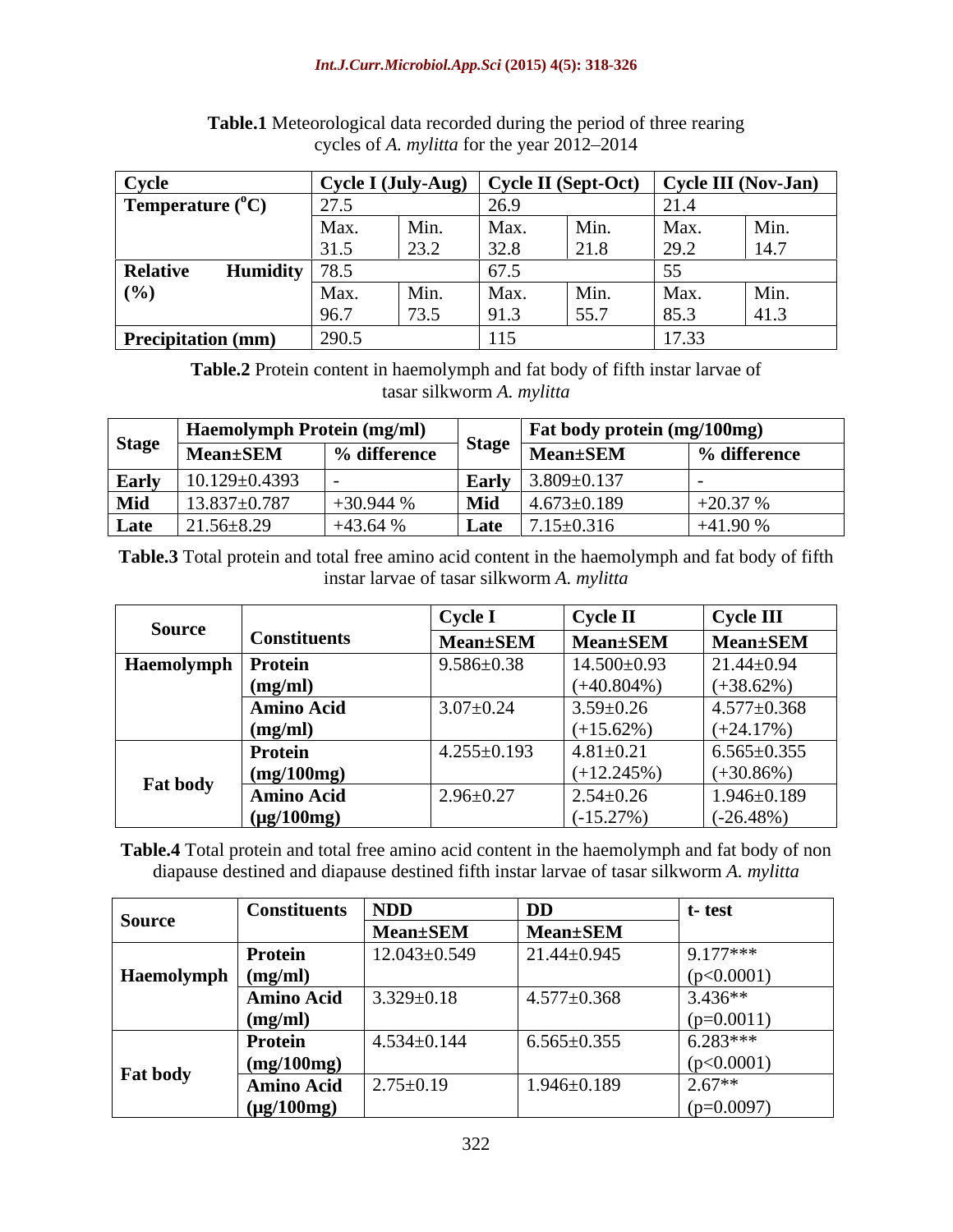## *Int.J.Curr.Microbiol.App.Sci* **(2015) 4(5): 318-326**

| Cycle                              |       |      |                                | Cycle I (July-Aug) $\vert$ Cycle II (Sept-Oct) |                                  | Cycle III (Nov-Jan) |
|------------------------------------|-------|------|--------------------------------|------------------------------------------------|----------------------------------|---------------------|
| Temperature $(^{\circ}C)$          | 27.5  |      | $\sim$<br>, เพ<br>$\angle U$ . |                                                | 21.4                             |                     |
|                                    | Max.  | Min. | Max.                           | Min.                                           | Max.                             | Min.                |
|                                    | 31.5  | 23.2 | 32.8<br>ں.⊿ب                   | 21.8                                           | 29.2                             | 14.7                |
| <b>Relative</b><br><b>Humidity</b> | 78.5  |      | $\epsilon$<br>◡ ៸ •◡           |                                                |                                  |                     |
| $(\%)$                             | Max.  | Min. | Max.                           | Min.                                           | Max.                             | Min.                |
|                                    | 96.7  | 73.5 |                                | 55.7                                           | 85.3                             | 41.3                |
| Precipitation (mm)                 | 290.5 |      | 115<br>1 L J                   |                                                | $1 \mathcal{F}$ $\Omega$<br>11.9 |                     |

**Table.1** Meteorological data recorded during the period of three rearing cycles of *A. mylitta* for the year 2012–2014

**Table.2** Protein content in haemolymph and fat body of fifth instar larvae of tasar silkworm *A. mylitta*

|      | Haemolymph Protein (mg/ml)           |              |          | <b>Fat body protein (mg/100mg)</b>                               |                 |
|------|--------------------------------------|--------------|----------|------------------------------------------------------------------|-----------------|
|      | Stage $Mean \pm SEM$                 | 6 difference |          | $\overline{\phantom{a}}$ Stage $\overline{\phantom{a}}$ Mean±SEM | $\%$ difference |
|      | Early $10.129 \pm 0.4393$            |              |          | $\bf{v}$   3.809+0.137                                           |                 |
|      | $\overline{\text{Mid}}$ 13.837±0.787 |              |          | $14.673 \pm 0.189$                                               | $+20.37%$       |
| Late | $21.56 \pm 8.29$                     | $+43.64%$    | 1 L.XII. | $17.15 + 0.316$                                                  | $+41.90$ %      |

**Table.3** Total protein and total free amino acid content in the haemolymph and fat body of fifth instar larvae of tasar silkworm *A. mylitta*

|                      |                     | Cycle             | <b>Cycle II</b>   | $\vert$ Cycle III |
|----------------------|---------------------|-------------------|-------------------|-------------------|
| Source               | <b>Constituents</b> | <b>Mean</b> ±SEM  | Mean±SEM Mean±SEM |                   |
| Haemolymph   Protein |                     | $9.586 \pm 0.38$  | $14.500 \pm 0.93$ | $121.44 \pm 0.94$ |
|                      | $(m\sigma/m)$       |                   | $(+40.804\%)$     | $(+38.62%)$       |
|                      | <b>Amino Acid</b>   | $3.07 \pm 0.24$   | $3.59 \pm 0.26$   | $4.577 \pm 0.368$ |
|                      | (mo/ml              |                   | $(+15.62%)$       | $(+24.17%)$       |
|                      | <b>Protein</b>      | $4.255 \pm 0.193$ | $4.81 \pm 0.21$   | $6.565 \pm 0.355$ |
|                      | $mg/100$ mg         |                   | $(+12.245%)$      | $(+30.86%)$       |
| <b>Fat body</b>      | <b>Amino Acid</b>   | $12.96 \pm 0.27$  | $2.54 \pm 0.26$   | $1.946 \pm 0.189$ |
|                      | $(\mu g/100mg$      |                   | $(-15.27%)$       | $(-26.48%)$       |

**Table.4** Total protein and total free amino acid content in the haemolymph and fat body of non diapause destined and diapause destined fifth instar larvae of tasar silkworm *A. mylitta*

|                           | <b>Constituents</b>   NDD |                     | DF                | l- lesi      |
|---------------------------|---------------------------|---------------------|-------------------|--------------|
| Source                    |                           | <b>Mean</b> ±SEM    | <b>Mean</b> ±SEM  |              |
|                           | <b>Protein</b>            | $12.043 \pm 0.549$  | $21.44 \pm 0.945$ | $9.177***$   |
| Haemolymph $\mid$ (mg/ml) |                           |                     |                   | (p<0.0001)   |
|                           | <b>Amino Acid</b>         | $3.329 \pm 0.18$    | $4.577 \pm 0.368$ | $ 3.436** $  |
|                           | (mq)                      |                     |                   | $(p=0.0011)$ |
|                           | <b>Protein</b>            | $(4.534 \pm 0.144)$ | $6.565 \pm 0.355$ | $6.283***$   |
|                           | (mg/100mg)                |                     |                   | (p<0.0001)   |
| <b>Fat body</b>           | <b>Amino Acid</b>         | $2.75 \pm 0.19$     | $1.946 \pm 0.189$ | $2.67**$     |
|                           | $(\mu g/100mg)$           |                     |                   | $(p=0.0097)$ |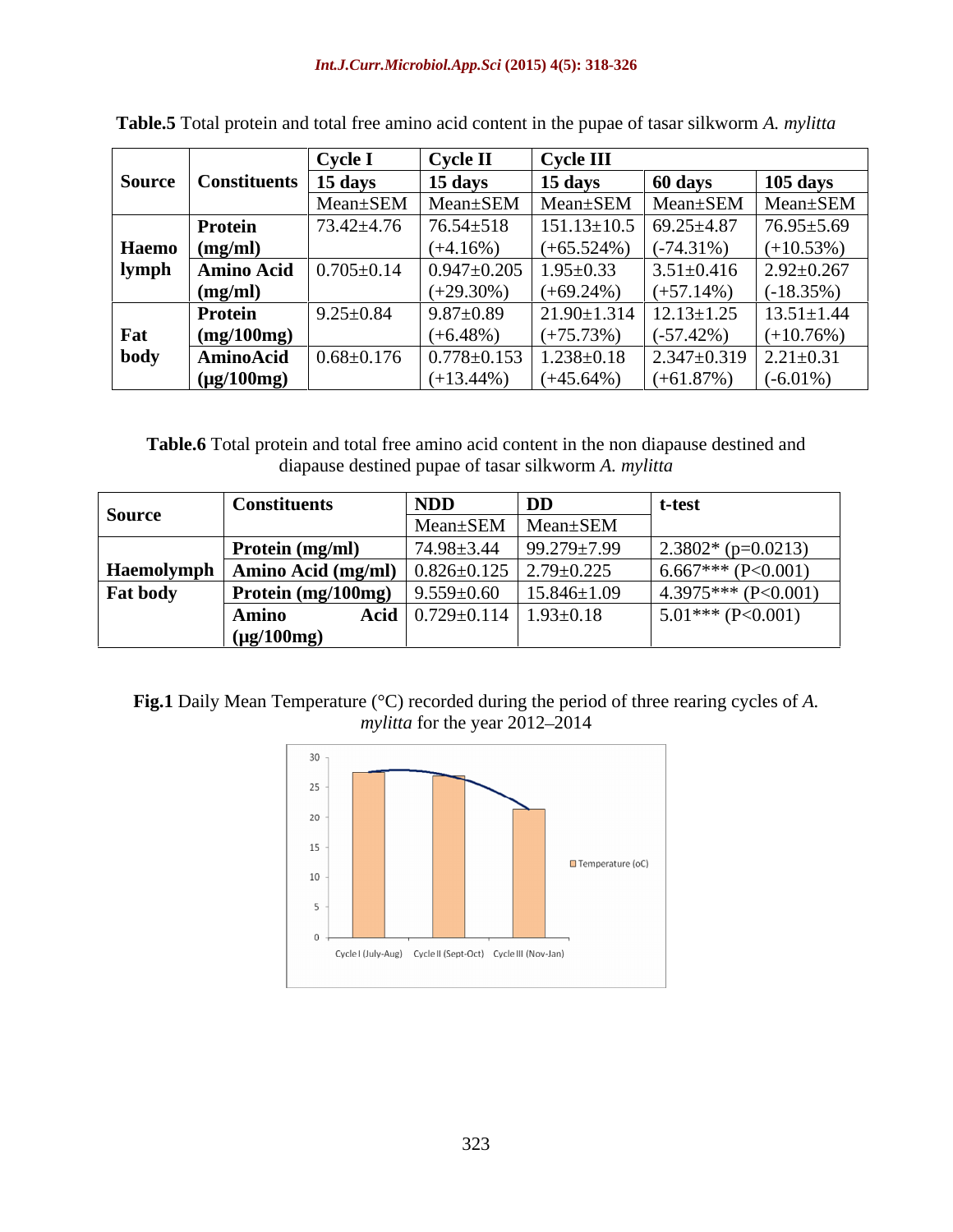|      |                                 | <u>Cycl</u>      | Cycle Il                                                           | Cycle III                                                        |                                                                                        |                   |
|------|---------------------------------|------------------|--------------------------------------------------------------------|------------------------------------------------------------------|----------------------------------------------------------------------------------------|-------------------|
|      |                                 |                  | 15 days                                                            | $\vert$ 15 days                                                  |                                                                                        |                   |
|      | Source   Constituents   15 days |                  |                                                                    |                                                                  | 60 days                                                                                | <b>105 days</b>   |
|      |                                 |                  |                                                                    |                                                                  | Mean±SEM   Mean±SEM   Mean±SEM   Mean±SEM   Mean±SEM                                   |                   |
|      | Protein                         |                  |                                                                    |                                                                  | $73.42 \pm 4.76$ $76.54 \pm 518$ $151.13 \pm 10.5$ 69.25 $\pm 4.87$ 76.95 $\pm 5.69$   |                   |
|      | Haemo (mg/ml)                   |                  | $\left  (+4.16\%) \right $ $(+65.524\%) \left  (-74.31\%) \right $ |                                                                  |                                                                                        | $(+10.53\%)$      |
|      | lymph   Amino Acid              |                  |                                                                    |                                                                  |                                                                                        |                   |
|      | $\frac{mg/ml}{m}$               |                  | $(+29.30\%)$                                                       | $\left( +69.24\% \right) \left( +57.14\% \right)$                |                                                                                        | $\vert$ (-18.35%) |
|      | <b>Protein</b>                  | $9.25 \pm 0.84$  | $9.87 \pm 0.89$                                                    |                                                                  | $21.90 \pm 1.314$ $12.13 \pm 1.25$                                                     | $13.51 \pm 1.44$  |
| r al | (mg/100mg)                      |                  | $(+6.48\%)$                                                        | $\left  \left( +75.73\% \right) \right  \left( -57.42\% \right)$ |                                                                                        | $(+10.76%)$       |
| body | AminoAcid                       | $0.68 \pm 0.176$ |                                                                    |                                                                  | $\vert 0.778 \pm 0.153 \vert 1.238 \pm 0.18 \vert 2.347 \pm 0.319 \vert 2.21 \pm 0.31$ |                   |
|      | (µg/100mg)                      |                  | $(+13.44\%)$                                                       | $(+45.64\%)$                                                     | $(+61.87%)$                                                                            | $(-6.01\%)$       |

| Table.5 Total protein and total free amino acid content in the pupae of tasar silkworm A. | ar silkworm <i>A. mylitta</i> |  |  |
|-------------------------------------------------------------------------------------------|-------------------------------|--|--|
|                                                                                           |                               |  |  |

**Table.6** Total protein and total free amino acid content in the non diapause destined and diapause destined pupae of tasar silkworm *A. mylitta*

|                 | <b>Constituents</b>    | <b>NDD</b>                                         | t-tes                                                                                                                  |
|-----------------|------------------------|----------------------------------------------------|------------------------------------------------------------------------------------------------------------------------|
| Source          |                        | Mean±SEM   Mean±SEM                                |                                                                                                                        |
|                 | $\mid$ Protein (mg/ml) |                                                    | $\begin{array}{ l l l l l } \hline 74.98 \pm 3.44 & 99.279 \pm 7.99 & 2.3802 & \text{(p=0.0213)} \ \hline \end{array}$ |
|                 |                        |                                                    | $\frac{1}{2}$ Haemolymph   Amino Acid (mg/ml)   $0.826 \pm 0.125$   $2.79 \pm 0.225$   $6.667$ *** (P<0.001)           |
| <b>Fat body</b> |                        |                                                    | <b>Protein (mg/100mg)</b> 9.559±0.60 15.846±1.09 4.3975*** (P<0.001)                                                   |
|                 |                        | Acid $\left[0.729 \pm 0.114 \right] 1.93 \pm 0.18$ | $\vert$ 5.01*** (P<0.001)                                                                                              |
|                 | $(\mu g/100 m p)$      |                                                    |                                                                                                                        |

## **Fig.1** Daily Mean Temperature (°C) recorded during the period of three rearing cycles of *A. mylitta* for the year 2012–2014

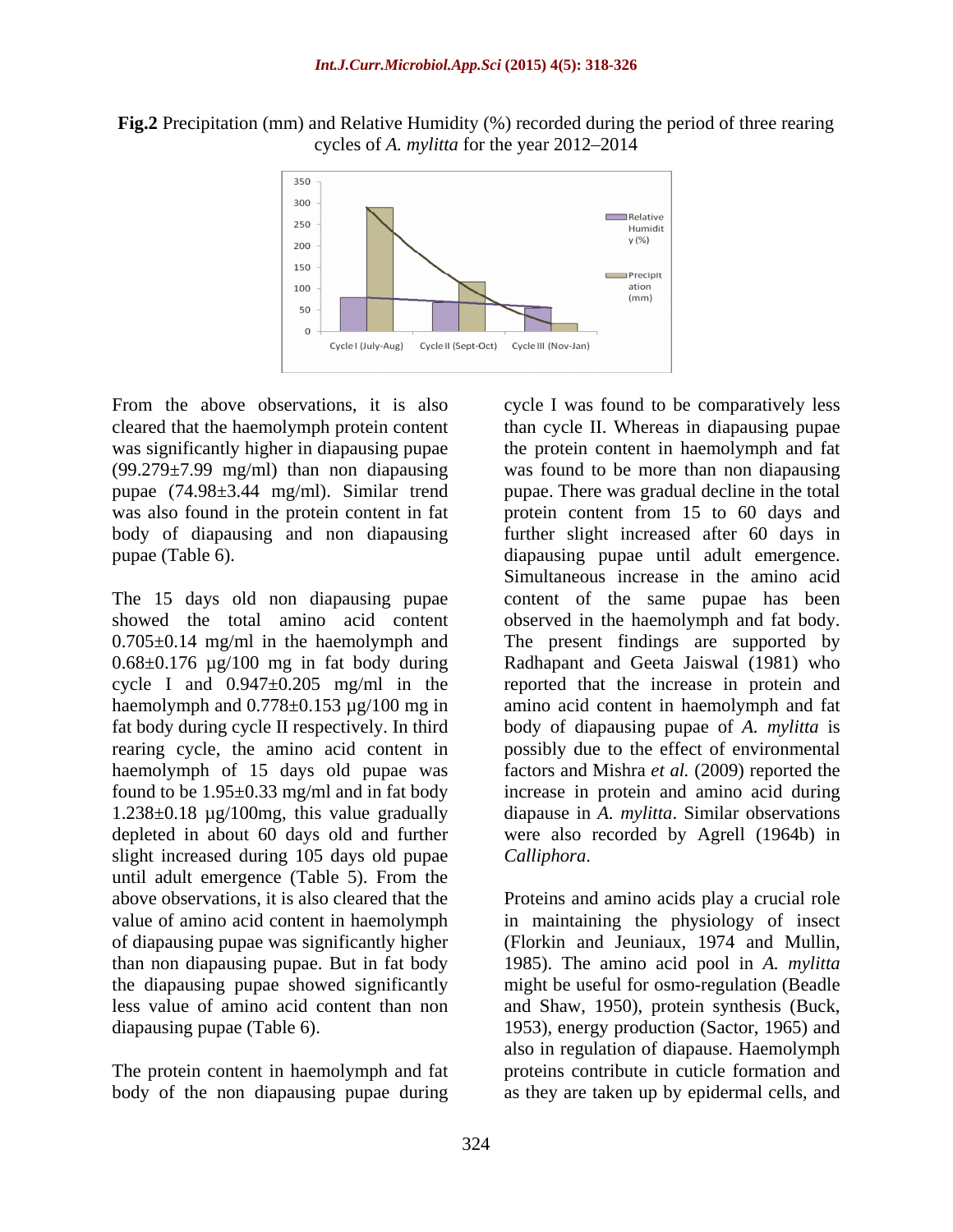**Fig.2** Precipitation (mm) and Relative Humidity (%) recorded during the period of three rearing cycles of *A. mylitta* for the year 2012–2014



was significantly higher in diapausing pupae (99.279±7.99 mg/ml) than non diapausing

rearing cycle, the amino acid content in slight increased during 105 days old pupae Calliphora. until adult emergence (Table 5). From the

The protein content in haemolymph and fat

From the above observations, it is also cycle I was found to be comparatively less cleared that the haemolymph protein content than cycle II. Whereas in diapausing pupae pupae (74.98±3.44 mg/ml). Similar trend pupae. There was gradual decline in the total was also found in the protein content in fat protein content from 15 to 60 days and body of diapausing and non diapausing further slight increased after 60 days in pupae (Table 6). diapausing pupae until adult emergence. The 15 days old non diapausing pupae content of the same pupae has been showed the total amino acid content observed in the haemolymph and fat body. 0.705±0.14 mg/ml in the haemolymph and The present findings are supported by 0.68±0.176 µg/100 mg in fat body during Radhapant and Geeta Jaiswal (1981) who cycle I and  $0.947 \pm 0.205$  mg/ml in the reported that the increase in protein and haemolymph and  $0.778 \pm 0.153 \mu g/100 \text{ mg}$  in amino acid content in haemolymph and fat fat body during cycle II respectively. In third body of diapausing pupae of *A. mylitta* is haemolymph of 15 days old pupae was factors and Mishra *et al.* (2009) reported the found to be 1.95±0.33 mg/ml and in fat body increase in protein and amino acid during 1.238±0.18 µg/100mg, this value gradually diapause in *A. mylitta*. Similar observations depleted in about 60 days old and further were also recorded by Agrell (1964b) in the protein content in haemolymph and fat was found to be more than non diapausing Simultaneous increase in the amino acid possibly due to the effect of environmental *Calliphora*.

above observations, it is also cleared that the Proteins and amino acids play a crucial role value of amino acid content in haemolymph in maintaining the physiology of insect of diapausing pupae was significantly higher (Florkin and Jeuniaux, 1974 and Mullin, than non diapausing pupae. But in fat body 1985). The amino acid pool in *A. mylitta* the diapausing pupae showed significantly might be useful for osmo-regulation (Beadle less value of amino acid content than non and Shaw, 1950), protein synthesis (Buck, diapausing pupae (Table 6). 1953), energy production (Sactor, 1965) and body of the non diapausing pupae during as they are taken up by epidermal cells, andalso in regulation of diapause. Haemolymph proteins contribute in cuticle formation and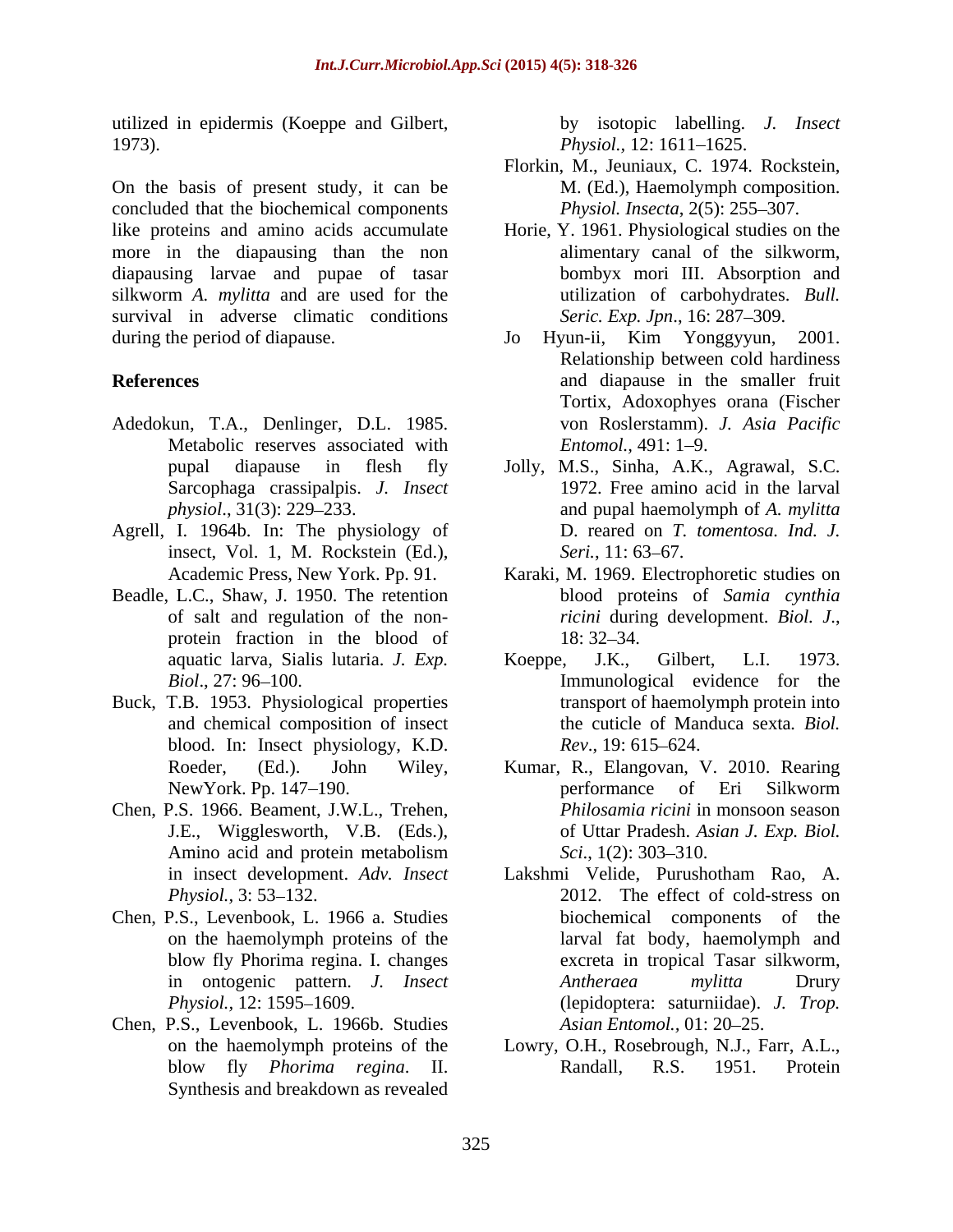utilized in epidermis (Koeppe and Gilbert, 1973). *Physiol.*, 12: 1611–1625.

On the basis of present study, it can be concluded that the biochemical components like proteins and amino acids accumulate Horie, Y. 1961. Physiological studies on the more in the diapausing than the non diapausing larvae and pupae of tasar silkworm *A. mylitta* and are used for the survival in adverse climatic conditions during the period of diapause. Jo Hyun-ii, Kim Yonggyyun, 2001.

- Adedokun, T.A., Denlinger, D.L. 1985. Metabolic reserves associated with *Entomol.*, 491: 1–9. Sarcophaga crassipalpis. *J. Insect*
- Agrell, I. 1964b. In: The physiology of insect, Vol. 1, M. Rockstein (Ed.), Seri., 11: 63–67.
- Beadle, L.C., Shaw, J. 1950. The retention protein fraction in the blood of 18:32–34.
- Buck, T.B. 1953. Physiological properties and chemical composition of insect blood. In: Insect physiology, K.D.  $Rev., 19: 615-624$ .
- Chen, P.S. 1966. Beament, J.W.L., Trehen,
- Chen, P.S., Levenbook, L. 1966 a. Studies
- Chen, P.S., Levenbook, L. 1966b. Studies Synthesis and breakdown as revealed

by isotopic labelling. *J. Insect Physiol.,* 12: 1611–1625.

- Florkin, M., Jeuniaux, C. 1974. Rockstein, M. (Ed.), Haemolymph composition. *Physiol. Insecta, 2(5): 255-307.*
- alimentary canal of the silkworm, bombyx mori III. Absorption and utilization of carbohydrates. *Bull. Seric. Exp. Jpn.*, 16: 287–309.
- **References** and diapause in the smaller fruit Jo Hyun-ii, Kim Yonggyyun, 2001. Relationship between cold hardiness Tortix, Adoxophyes orana (Fischer von Roslerstamm). *J. Asia Pacific Entomol.,* 491: 1–9.
	- pupal diapause in flesh fly Jolly, M.S., Sinha, A.K., Agrawal, S.C. *physiol*., 31(3): 229 233. and pupal haemolymph of *A. mylitta* 1972. Free amino acid in the larval D. reared on *T. tomentosa. Ind. J. Seri.*, 11: 63–67.
	- Academic Press, New York. Pp. 91. Karaki, M. 1969. Electrophoretic studies on of salt and regulation of the non-<br> *ricini* during development. *Biol. J.*, blood proteins of *Samia cynthia ricini* during development. *Biol. J.*, 18: 32–34.
	- aquatic larva, Sialis lutaria. *J. Exp. Biol.*, 27: 96–100. The evidence for the same and a set of the same set of the same set of the same set of the same set of the same set of the same set of the same set of the same set of the same set of the same set of th Koeppe, J.K., Gilbert, L.I. 1973. transport of haemolymph protein into the cuticle of Manduca sexta*. Biol. Rev.*, 19: 615–624.
	- Roeder, (Ed.). John Wiley, Kumar, R., Elangovan, V. 2010. Rearing NewYork. Pp. 147–190. The example of the state of the Silkworm J.E., Wigglesworth, V.B. (Eds.), of Uttar Pradesh. *Asian J. Exp. Biol.* Amino acid and protein metabolism Sci., 1(2): 303–310. performance of Eri Silkworm *Philosamia ricini* in monsoon season *Sci.*, 1(2): 303–310.
	- in insect development. *Adv. Insect* Lakshmi Velide, Purushotham Rao, A. *Physiol.*, 3: 53–132. 2012. The effect of cold-stress on on the haemolymph proteins of the larval fat body, haemolymph and blow fly Phorima regina. I. changes excreta in tropical Tasar silkworm, in ontogenic pattern. *J. Insect Physiol.,* 12: 1595 1609. (lepidoptera: saturniidae). *J. Trop.* biochemical components of the *Antheraea mylitta* Drury *Asian Entomol.,* 01: 20–25.
	- on the haemolymph proteins of the Lowry, O.H., Rosebrough, N.J., Farr, A.L., blow fly *Phorima regina*. II. Randall, R.S. 1951. Protein